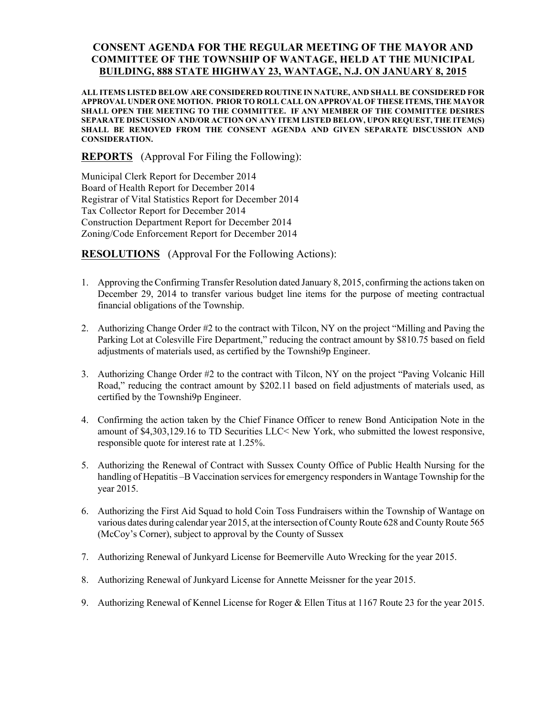## CONSENT AGENDA FOR THE REGULAR MEETING OF THE MAYOR AND COMMITTEE OF THE TOWNSHIP OF WANTAGE, HELD AT THE MUNICIPAL BUILDING, 888 STATE HIGHWAY 23, WANTAGE, N.J. ON JANUARY 8, 2015

ALL ITEMS LISTED BELOW ARE CONSIDERED ROUTINE IN NATURE, AND SHALL BE CONSIDERED FOR APPROVAL UNDER ONE MOTION. PRIOR TO ROLL CALL ON APPROVAL OF THESE ITEMS, THE MAYOR SHALL OPEN THE MEETING TO THE COMMITTEE. IF ANY MEMBER OF THE COMMITTEE DESIRES SEPARATE DISCUSSION AND/OR ACTION ON ANY ITEM LISTED BELOW, UPON REQUEST, THE ITEM(S) SHALL BE REMOVED FROM THE CONSENT AGENDA AND GIVEN SEPARATE DISCUSSION AND CONSIDERATION.

REPORTS (Approval For Filing the Following):

Municipal Clerk Report for December 2014 Board of Health Report for December 2014 Registrar of Vital Statistics Report for December 2014 Tax Collector Report for December 2014 Construction Department Report for December 2014 Zoning/Code Enforcement Report for December 2014

RESOLUTIONS (Approval For the Following Actions):

- 1. Approving the Confirming Transfer Resolution dated January 8, 2015, confirming the actions taken on December 29, 2014 to transfer various budget line items for the purpose of meeting contractual financial obligations of the Township.
- 2. Authorizing Change Order #2 to the contract with Tilcon, NY on the project "Milling and Paving the Parking Lot at Colesville Fire Department," reducing the contract amount by \$810.75 based on field adjustments of materials used, as certified by the Townshi9p Engineer.
- 3. Authorizing Change Order #2 to the contract with Tilcon, NY on the project "Paving Volcanic Hill Road," reducing the contract amount by \$202.11 based on field adjustments of materials used, as certified by the Townshi9p Engineer.
- 4. Confirming the action taken by the Chief Finance Officer to renew Bond Anticipation Note in the amount of \$4,303,129.16 to TD Securities LLC< New York, who submitted the lowest responsive, responsible quote for interest rate at 1.25%.
- 5. Authorizing the Renewal of Contract with Sussex County Office of Public Health Nursing for the handling of Hepatitis –B Vaccination services for emergency responders in Wantage Township for the year 2015.
- 6. Authorizing the First Aid Squad to hold Coin Toss Fundraisers within the Township of Wantage on various dates during calendar year 2015, at the intersection of County Route 628 and County Route 565 (McCoy's Corner), subject to approval by the County of Sussex
- 7. Authorizing Renewal of Junkyard License for Beemerville Auto Wrecking for the year 2015.
- 8. Authorizing Renewal of Junkyard License for Annette Meissner for the year 2015.
- 9. Authorizing Renewal of Kennel License for Roger & Ellen Titus at 1167 Route 23 for the year 2015.